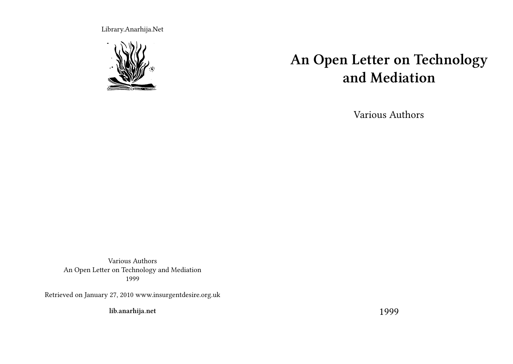Library.Anarhija.Net



# **An Open Letter on Technology and Mediation**

Various Authors

Various Authors An Open Letter on Technology and Mediation 1999

Retrieved on January 27, 2010 www.insurgentdesire.org.uk

**lib.anarhija.net**

1999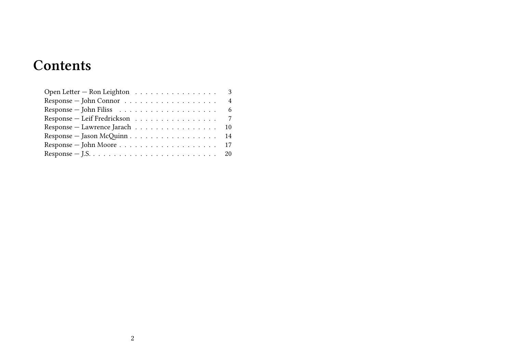# **Contents**

| Open Letter – Ron Leighton 3                                       |                |
|--------------------------------------------------------------------|----------------|
| $Response - John Connor \dots \dots \dots \dots \dots \dots \dots$ | $\overline{4}$ |
|                                                                    |                |
| Response – Leif Fredrickson 7                                      |                |
| Response – Lawrence Jarach 10                                      |                |
|                                                                    |                |
|                                                                    |                |
|                                                                    |                |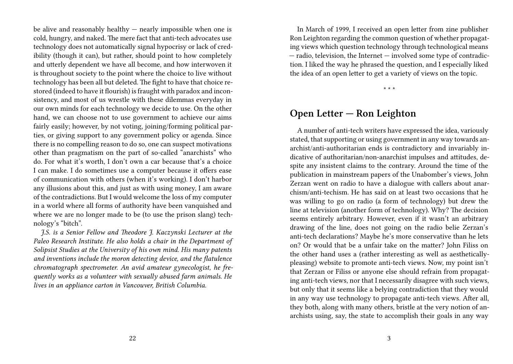be alive and reasonably healthy — nearly impossible when one is cold, hungry, and naked. The mere fact that anti-tech advocates use technology does not automatically signal hypocrisy or lack of credibility (though it can), but rather, should point to how completely and utterly dependent we have all become, and how interwoven it is throughout society to the point where the choice to live without technology has been all but deleted. The fight to have that choice restored (indeed to have it flourish) is fraught with paradox and inconsistency, and most of us wrestle with these dilemmas everyday in our own minds for each technology we decide to use. On the other hand, we can choose not to use government to achieve our aims fairly easily; however, by not voting, joining/forming political parties, or giving support to any government policy or agenda. Since there is no compelling reason to do so, one can suspect motivations other than pragmatism on the part of so-called "anarchists" who do. For what it's worth, I don't own a car because that's a choice I can make. I do sometimes use a computer because it offers ease of communication with others (when it's working). I don't harbor any illusions about this, and just as with using money, I am aware of the contradictions. But I would welcome the loss of my computer in a world where all forms of authority have been vanquished and where we are no longer made to be (to use the prison slang) technology's "bitch".

*J.S. is a Senior Fellow and Theodore J. Kaczynski Lecturer at the Paleo Research Institute. He also holds a chair in the Department of Solipsist Studies at the University of his own mind. His many patents and inventions include the moron detecting device, and the flatulence chromatograph spectrometer. An avid amateur gynecologist, he frequently works as a volunteer with sexually abused farm animals. He lives in an appliance carton in Vancouver, British Columbia.*

In March of 1999, I received an open letter from zine publisher Ron Leighton regarding the common question of whether propagating views which question technology through technological means — radio, television, the Internet — involved some type of contradiction. I liked the way he phrased the question, and I especially liked the idea of an open letter to get a variety of views on the topic.

\* \* \*

## **Open Letter — Ron Leighton**

A number of anti-tech writers have expressed the idea, variously stated, that supporting or using government in any way towards anarchist/anti-authoritarian ends is contradictory and invariably indicative of authoritarian/non-anarchist impulses and attitudes, despite any insistent claims to the contrary. Around the time of the publication in mainstream papers of the Unabomber's views, John Zerzan went on radio to have a dialogue with callers about anarchism/anti-techism. He has said on at least two occasions that he was willing to go on radio (a form of technology) but drew the line at television (another form of technology). Why? The decision seems entirely arbitrary. However, even if it wasn't an arbitrary drawing of the line, does not going on the radio belie Zerzan's anti-tech declarations? Maybe he's more conservative than he lets on? Or would that be a unfair take on the matter? John Filiss on the other hand uses a (rather interesting as well as aestheticallypleasing) website to promote anti-tech views. Now, my point isn't that Zerzan or Filiss or anyone else should refrain from propagating anti-tech views, nor that I necessarily disagree with such views, but only that it seems like a belying contradiction that they would in any way use technology to propagate anti-tech views. After all, they both, along with many others, bristle at the very notion of anarchists using, say, the state to accomplish their goals in any way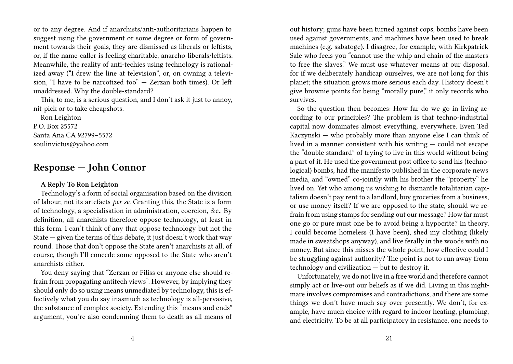or to any degree. And if anarchists/anti-authoritarians happen to suggest using the government or some degree or form of government towards their goals, they are dismissed as liberals or leftists, or, if the name-caller is feeling charitable, anarcho-liberals/leftists. Meanwhile, the reality of anti-techies using technology is rationalized away ("I drew the line at television", or, on owning a television, "I have to be narcotized too" — Zerzan both times). Or left unaddressed. Why the double-standard?

This, to me, is a serious question, and I don't ask it just to annoy, nit-pick or to take cheapshots.

Ron Leighton P.O. Box 25572 Santa Ana CA 92799–5572 soulinvictus@yahoo.com

# **Response — John Connor**

#### **A Reply To Ron Leighton**

Technology's a form of social organisation based on the division of labour, not its artefacts *per se*. Granting this, the State is a form of technology, a specialisation in administration, coercion, &c.. By definition, all anarchists therefore oppose technology, at least in this form. I can't think of any that oppose technology but not the State — given the terms of this debate, it just doesn't work that way round. Those that don't oppose the State aren't anarchists at all, of course, though I'll concede some opposed to the State who aren't anarchists either.

You deny saying that "Zerzan or Filiss or anyone else should refrain from propagating antitech views". However, by implying they should only do so using means unmediated by technology, this is effectively what you do say inasmuch as technology is all-pervasive, the substance of complex society. Extending this "means and ends" argument, you're also condemning them to death as all means of

out history; guns have been turned against cops, bombs have been used against governments, and machines have been used to break machines (e.g. sabatoge). I disagree, for example, with Kirkpatrick Sale who feels you "cannot use the whip and chain of the masters to free the slaves." We must use whatever means at our disposal, for if we deliberately handicap ourselves, we are not long for this planet; the situation grows more serious each day. History doesn't give brownie points for being "morally pure," it only records who survives.

So the question then becomes: How far do we go in living according to our principles? The problem is that techno-industrial capital now dominates almost everything, everywhere. Even Ted Kaczynski — who probably more than anyone else I can think of lived in a manner consistent with his writing — could not escape the "double standard" of trying to live in this world without being a part of it. He used the government post office to send his (technological) bombs, had the manifesto published in the corporate news media, and "owned" co-jointly with his brother the "property" he lived on. Yet who among us wishing to dismantle totalitarian capitalism doesn't pay rent to a landlord, buy groceries from a business, or use money itself? If we are opposed to the state, should we refrain from using stamps for sending out our message? How far must one go or pure must one be to avoid being a hypocrite? In theory, I could become homeless (I have been), shed my clothing (likely made in sweatshops anyway), and live ferally in the woods with no money. But since this misses the whole point, how effective could I be struggling against authority? The point is not to run away from technology and civilization — but to destroy it.

Unfortunately, we do not live in a free world and therefore cannot simply act or live-out our beliefs as if we did. Living in this nightmare involves compromises and contradictions, and there are some things we don't have much say over presently. We don't, for example, have much choice with regard to indoor heating, plumbing, and electricity. To be at all participatory in resistance, one needs to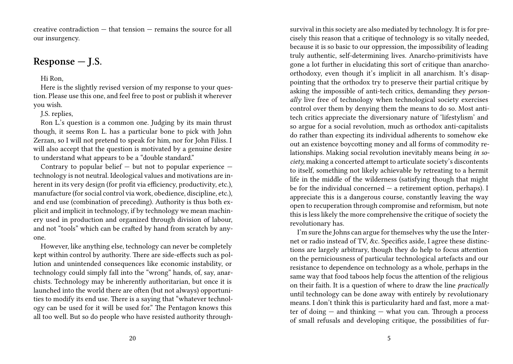creative contradiction — that tension — remains the source for all our insurgency.

# **Response — J.S.**

Hi Ron,

Here is the slightly revised version of my response to your question. Please use this one, and feel free to post or publish it wherever you wish.

J.S. replies,

Ron L.'s question is a common one. Judging by its main thrust though, it seems Ron L. has a particular bone to pick with John Zerzan, so I will not pretend to speak for him, nor for John Filiss. I will also accept that the question is motivated by a genuine desire to understand what appears to be a "double standard."

Contrary to popular belief  $-$  but not to popular experience  $$ technology is not neutral. Ideological values and motivations are inherent in its very design (for profit via efficiency, productivity, etc.), manufacture (for social control via work, obedience, discipline, etc.), and end use (combination of preceding). Authority is thus both explicit and implicit in technology, if by technology we mean machinery used in production and organized through division of labour, and not "tools" which can be crafted by hand from scratch by anyone.

However, like anything else, technology can never be completely kept within control by authority. There are side-effects such as pollution and unintended consequences like economic instability, or technology could simply fall into the "wrong" hands, of, say, anarchists. Technology may be inherently authoritarian, but once it is launched into the world there are often (but not always) opportunities to modify its end use. There is a saying that "whatever technology can be used for it will be used for." The Pentagon knows this all too well. But so do people who have resisted authority throughsurvival in this society are also mediated by technology. It is for precisely this reason that a critique of technology is so vitally needed, because it is so basic to our oppression, the impossibility of leading truly authentic, self-determining lives. Anarcho-primitivists have gone a lot further in elucidating this sort of critique than anarchoorthodoxy, even though it's implicit in all anarchism. It's disappointing that the orthodox try to preserve their partial critique by asking the impossible of anti-tech critics, demanding they *personally* live free of technology when technological society exercises control over them by denying them the means to do so. Most antitech critics appreciate the diversionary nature of 'lifestylism' and so argue for a social revolution, much as orthodox anti-capitalists do rather than expecting its individual adherents to somehow eke out an existence boycotting money and all forms of commodity relationships. Making social revolution inevitably means being *in society,* making a concerted attempt to articulate society's discontents to itself, something not likely achievable by retreating to a hermit life in the middle of the wilderness (satisfying though that might be for the individual concerned  $-$  a retirement option, perhaps). I appreciate this is a dangerous course, constantly leaving the way open to recuperation through compromise and reformism, but note this is less likely the more comprehensive the critique of society the revolutionary has.

I'm sure the Johns can argue for themselves why the use the Internet or radio instead of TV, &c. Specifics aside, I agree these distinctions are largely arbitrary, though they do help to focus attention on the perniciousness of particular technological artefacts and our resistance to dependence on technology as a whole, perhaps in the same way that food taboos help focus the attention of the religious on their faith. It is a question of where to draw the line *practically* until technology can be done away with entirely by revolutionary means. I don't think this is particularity hard and fast, more a matter of doing — and thinking — what you can. Through a process of small refusals and developing critique, the possibilities of fur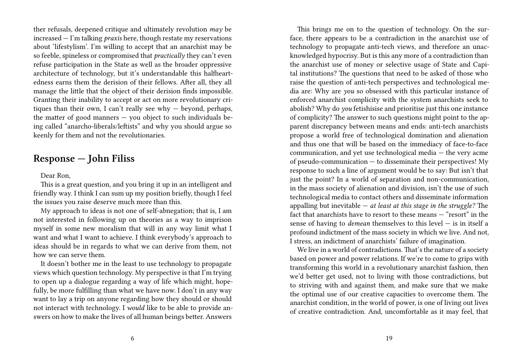ther refusals, deepened critique and ultimately revolution *may* be increased — I'm talking *praxis* here, though restate my reservations about 'lifestylism'. I'm willing to accept that an anarchist may be so feeble, spineless or compromised that *practically* they can't even refuse participation in the State as well as the broader oppressive architecture of technology, but it's understandable this halfheartedness earns them the derision of their fellows. After all, they all manage the little that the object of their derision finds impossible. Granting their inability to accept or act on more revolutionary critiques than their own, I can't really see why  $-$  beyond, perhaps, the matter of good manners  $-$  you object to such individuals being called "anarcho-liberals/leftists" and why you should argue so keenly for them and not the revolutionaries.

## **Response — John Filiss**

#### Dear Ron,

This is a great question, and you bring it up in an intelligent and friendly way. I think I can sum up my position briefly, though I feel the issues you raise deserve much more than this.

My approach to ideas is not one of self-abnegation; that is, I am not interested in following up on theories as a way to imprison myself in some new moralism that will in any way limit what I want and what I want to achieve. I think everybody's approach to ideas should be in regards to what we can derive from them, not how we can serve them.

It doesn't bother me in the least to use technology to propagate views which question technology. My perspective is that I'm trying to open up a dialogue regarding a way of life which might, hopefully, be more fulfilling than what we have now. I don't in any way want to lay a trip on anyone regarding how they should or should not interact with technology. I *would* like to be able to provide answers on how to make the lives of all human beings better. Answers

This brings me on to the question of technology. On the surface, there appears to be a contradiction in the anarchist use of technology to propagate anti-tech views, and therefore an unacknowledged hypocrisy. But is this any more of a contradiction than the anarchist use of money or selective usage of State and Capital institutions? The questions that need to be asked of those who raise the question of anti-tech perspectives and technological media are: Why are *you* so obsessed with this particular instance of enforced anarchist complicity with the system anarchists seek to abolish? Why do *you* fetishisise and prioritise just this one instance of complicity? The answer to such questions might point to the apparent discrepancy between means and ends: anti-tech anarchists propose a world free of technological domination and alienation and thus one that will be based on the immediacy of face-to-face communication, and yet use technological media — the very acme of pseudo-communication  $-$  to disseminate their perspectives! My response to such a line of argument would be to say: But isn't that just the point? In a world of separation and non-communication, in the mass society of alienation and division, isn't the use of such technological media to contact others and disseminate information appalling but inevitable — *at least at this stage in the struggle?* The fact that anarchists have to resort to these means — "resort" in the sense of having to *demean* themselves to this level — is in itself a profound indictment of the mass society in which we live. And not, I stress, an indictment of anarchists' failure of imagination.

We live in a world of contradictions. That's the nature of a society based on power and power relations. If we're to come to grips with transforming this world in a revolutionary anarchist fashion, then we'd better get used, not to living with those contradictions, but to striving with and against them, and make sure that we make the optimal use of our creative capacities to overcome them. The anarchist condition, in the world of power, is one of living out lives of creative contradiction. And, uncomfortable as it may feel, that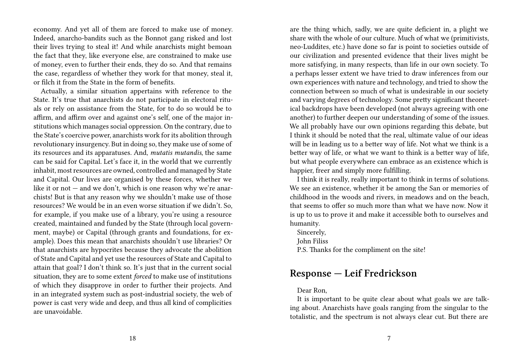economy. And yet all of them are forced to make use of money. Indeed, anarcho-bandits such as the Bonnot gang risked and lost their lives trying to steal it! And while anarchists might bemoan the fact that they, like everyone else, are constrained to make use of money, even to further their ends, they do so. And that remains the case, regardless of whether they work for that money, steal it, or filch it from the State in the form of benefits.

Actually, a similar situation appertains with reference to the State. It's true that anarchists do not participate in electoral rituals or rely on assistance from the State, for to do so would be to affirm, and affirm over and against one's self, one of the major institutions which manages social oppression. On the contrary, due to the State's coercive power, anarchists work for its abolition through revolutionary insurgency. But in doing so, they make use of some of its resources and its apparatuses. And, *mutatis mutandis*, the same can be said for Capital. Let's face it, in the world that we currently inhabit, most resources are owned, controlled and managed by State and Capital. Our lives are organised by these forces, whether we like it or not — and we don't, which is one reason why we're anarchists! But is that any reason why we shouldn't make use of those resources? We would be in an even worse situation if we didn't. So, for example, if you make use of a library, you're using a resource created, maintained and funded by the State (through local government, maybe) or Capital (through grants and foundations, for example). Does this mean that anarchists shouldn't use libraries? Or that anarchists are hypocrites because they advocate the abolition of State and Capital and yet use the resources of State and Capital to attain that goal? I don't think so. It's just that in the current social situation, they are to some extent *forced* to make use of institutions of which they disapprove in order to further their projects. And in an integrated system such as post-industrial society, the web of power is cast very wide and deep, and thus all kind of complicities are unavoidable.

are the thing which, sadly, we are quite deficient in, a plight we share with the whole of our culture. Much of what we (primitivists, neo-Luddites, etc.) have done so far is point to societies outside of our civilization and presented evidence that their lives might be more satisfying, in many respects, than life in our own society. To a perhaps lesser extent we have tried to draw inferences from our own experiences with nature and technology, and tried to show the connection between so much of what is undesirable in our society and varying degrees of technology. Some pretty significant theoretical backdrops have been developed (not always agreeing with one another) to further deepen our understanding of some of the issues. We all probably have our own opinions regarding this debate, but I think it should be noted that the real, ultimate value of our ideas will be in leading us to a better way of life. Not what we think is a better way of life, or what we want to think is a better way of life, but what people everywhere can embrace as an existence which is happier, freer and simply more fulfilling.

I think it is really, really important to think in terms of solutions. We see an existence, whether it be among the San or memories of childhood in the woods and rivers, in meadows and on the beach, that seems to offer so much more than what we have now. Now it is up to us to prove it and make it accessible both to ourselves and humanity.

Sincerely,

John Filiss

P.S. Thanks for the compliment on the site!

## **Response — Leif Fredrickson**

#### Dear Ron,

It is important to be quite clear about what goals we are talking about. Anarchists have goals ranging from the singular to the totalistic, and the spectrum is not always clear cut. But there are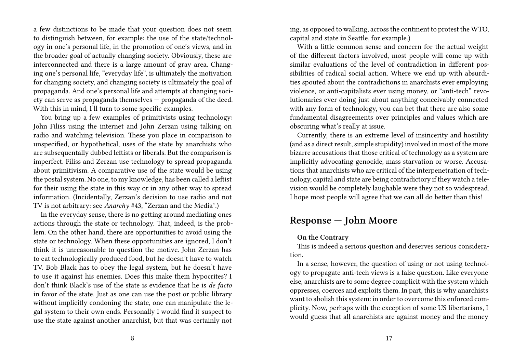a few distinctions to be made that your question does not seem to distinguish between, for example: the use of the state/technology in one's personal life, in the promotion of one's views, and in the broader goal of actually changing society. Obviously, these are interconnected and there is a large amount of gray area. Changing one's personal life, "everyday life", is ultimately the motivation for changing society, and changing society is ultimately the goal of propaganda. And one's personal life and attempts at changing society can serve as propaganda themselves — propaganda of the deed. With this in mind, I'll turn to some specific examples.

You bring up a few examples of primitivists using technology: John Filiss using the internet and John Zerzan using talking on radio and watching television. These you place in comparison to unspecified, or hypothetical, uses of the state by anarchists who are subsequentally dubbed leftists or liberals. But the comparison is imperfect. Filiss and Zerzan use technology to spread propaganda about primitivism. A comparative use of the state would be using the postal system. No one, to my knowledge, has been called a leftist for their using the state in this way or in any other way to spread information. (Incidentally, Zerzan's decision to use radio and not TV is not arbitrary: see *Anarchy* #43, "Zerzan and the Media".)

In the everyday sense, there is no getting around mediating ones actions through the state or technology. That, indeed, is the problem. On the other hand, there are opportunities to avoid using the state or technology. When these opportunities are ignored, I don't think it is unreasonable to question the motive. John Zerzan has to eat technologically produced food, but he doesn't have to watch TV. Bob Black has to obey the legal system, but he doesn't have to use it against his enemies. Does this make them hypocrites? I don't think Black's use of the state is evidence that he is *de facto* in favor of the state. Just as one can use the post or public library without implicitly condoning the state, one can manipulate the legal system to their own ends. Personally I would find it suspect to use the state against another anarchist, but that was certainly not

ing, as opposed to walking, across the continent to protest the WTO, capital and state in Seattle, for example.)

With a little common sense and concern for the actual weight of the different factors involved, most people will come up with similar evaluations of the level of contradiction in different possibilities of radical social action. Where we end up with absurdities spouted about the contradictions in anarchists ever employing violence, or anti-capitalists ever using money, or "anti-tech" revolutionaries ever doing just about anything conceivably connected with any form of technology, you can bet that there are also some fundamental disagreements over principles and values which are obscuring what's really at issue.

Currently, there is an extreme level of insincerity and hostility (and as a direct result, simple stupidity) involved in most of the more bizarre accusations that those critical of technology as a system are implicitly advocating genocide, mass starvation or worse. Accusations that anarchists who are critical of the interpenetration of technology, capital and state are being contradictory if they watch a television would be completely laughable were they not so widespread. I hope most people will agree that we can all do better than this!

# **Response — John Moore**

### **On the Contrary**

This is indeed a serious question and deserves serious consideration.

In a sense, however, the question of using or not using technology to propagate anti-tech views is a false question. Like everyone else, anarchists are to some degree complicit with the system which oppresses, coerces and exploits them. In part, this is why anarchists want to abolish this system: in order to overcome this enforced complicity. Now, perhaps with the exception of some US libertarians, I would guess that all anarchists are against money and the money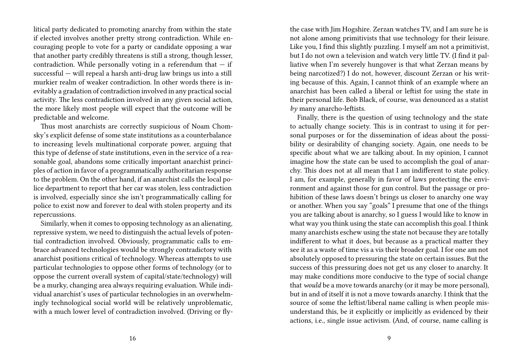litical party dedicated to promoting anarchy from within the state if elected involves another pretty strong contradiction. While encouraging people to vote for a party or candidate opposing a war that another party credibly threatens is still a strong, though lesser, contradiction. While personally voting in a referendum that  $-$  if successful — will repeal a harsh anti-drug law brings us into a still murkier realm of weaker contradiction. In other words there is inevitably a gradation of contradiction involved in any practical social activity. The less contradiction involved in any given social action, the more likely most people will expect that the outcome will be predictable and welcome.

Thus most anarchists are correctly suspicious of Noam Chomsky's explicit defense of some state institutions as a counterbalance to increasing levels multinational corporate power, arguing that this type of defense of state institutions, even in the service of a reasonable goal, abandons some critically important anarchist principles of action in favor of a programmatically authoritarian response to the problem. On the other hand, if an anarchist calls the local police department to report that her car was stolen, less contradiction is involved, especially since she isn't programmatically calling for police to exist now and forever to deal with stolen property and its repercussions.

Similarly, when it comes to opposing technology as an alienating, repressive system, we need to distinguish the actual levels of potential contradiction involved. Obviously, programmatic calls to embrace advanced technologies would be strongly contradictory with anarchist positions critical of technology. Whereas attempts to use particular technologies to oppose other forms of technology (or to oppose the current overall system of capital/state/technology) will be a murky, changing area always requiring evaluation. While individual anarchist's uses of particular technologies in an overwhelmingly technological social world will be relatively unproblematic, with a much lower level of contradiction involved. (Driving or flythe case with Jim Hogshire. Zerzan watches TV, and I am sure he is not alone among primitivists that use technology for their leisure. Like you, I find this slightly puzzling. I myself am not a primitivist, but I do not own a television and watch very little TV. (I find it palliative when I'm severely hungover is that what Zerzan means by being narcotized?) I do not, however, discount Zerzan or his writing because of this. Again, I cannot think of an example where an anarchist has been called a liberal or leftist for using the state in their personal life. Bob Black, of course, was denounced as a statist *by* many anarcho-leftists.

Finally, there is the question of using technology and the state to actually change society. This is in contrast to using it for personal purposes or for the dissemination of ideas about the possibility or desirability of changing society. Again, one needs to be specific about what we are talking about. In my opinion, I cannot imagine how the state can be used to accomplish the goal of anarchy. This does not at all mean that I am indifferent to state policy. I am, for example, generally in favor of laws protecting the environment and against those for gun control. But the passage or prohibition of these laws doesn't brings us closer to anarchy one way or another. When you say "goals" I presume that one of the things you are talking about is anarchy, so I guess I would like to know in what way you think using the state can accomplish this goal. I think many anarchists eschew using the state not because they are totally indifferent to what it does, but because as a practical matter they see it as a waste of time vis a vis their broader goal. I for one am not absolutely opposed to pressuring the state on certain issues. But the success of this pressuring does not get us any closer to anarchy. It may make conditions more conducive to the type of social change that *would* be a move towards anarchy (or it may be more personal), but in and of itself it is not a move towards anarchy. I think that the source of some the leftist/liberal name calling is when people misunderstand this, be it explicitly or implicitly as evidenced by their actions, i.e., single issue activism. (And, of course, name calling is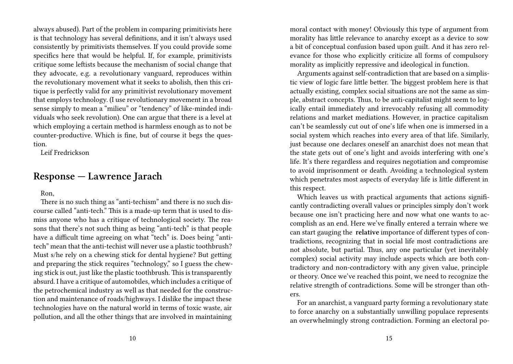always abused). Part of the problem in comparing primitivists here is that technology has several definitions, and it isn't always used consistently by primitivists themselves. If you could provide some specifics here that would be helpful. If, for example, primitivists critique some leftists because the mechanism of social change that they advocate, e.g. a revolutionary vanguard, reproduces within the revolutionary movement what it seeks to abolish, then this critique is perfectly valid for any primitivist revolutionary movement that employs technology. (I use revolutionary movement in a broad sense simply to mean a "milieu" or "tendency" of like-minded individuals who seek revolution). One can argue that there is a level at which employing a certain method is harmless enough as to not be counter-productive. Which is fine, but of course it begs the question.

Leif Fredrickson

# **Response — Lawrence Jarach**

Ron,

There is no such thing as "anti-techism" and there is no such discourse called "anti-tech." This is a made-up term that is used to dismiss anyone who has a critique of technological society. The reasons that there's not such thing as being "anti-tech" is that people have a difficult time agreeing on what "tech" is. Does being "antitech" mean that the anti-techist will never use a plastic toothbrush? Must s/he rely on a chewing stick for dental hygiene? But getting and preparing the stick requires "technology," so I guess the chewing stick is out, just like the plastic toothbrush. This is transparently absurd. I have a critique of automobiles, which includes a critique of the petrochemical industry as well as that needed for the construction and maintenance of roads/highways. I dislike the impact these technologies have on the natural world in terms of toxic waste, air pollution, and all the other things that are involved in maintaining

moral contact with money! Obviously this type of argument from morality has little relevance to anarchy except as a device to sow a bit of conceptual confusion based upon guilt. And it has zero relevance for those who explicitly criticize all forms of compulsory morality as implicitly repressive and ideological in function.

Arguments against self-contradiction that are based on a simplistic view of logic fare little better. The biggest problem here is that actually existing, complex social situations are not the same as simple, abstract concepts. Thus, to be anti-capitalist might seem to logically entail immediately and irrevocably refusing all commodity relations and market mediations. However, in practice capitalism can't be seamlessly cut out of one's life when one is immersed in a social system which reaches into every area of that life. Similarly, just because one declares oneself an anarchist does not mean that the state gets out of one's light and avoids interfering with one's life. It's there regardless and requires negotiation and compromise to avoid imprisonment or death. Avoiding a technological system which penetrates most aspects of everyday life is little different in this respect.

Which leaves us with practical arguments that actions significantly contradicting overall values or principles simply don't work because one isn't practicing here and now what one wants to accomplish as an end. Here we've finally entered a terrain where we can start gauging the **relative** importance of different types of contradictions, recognizing that in social life most contradictions are not absolute, but partial. Thus, any one particular (yet inevitably complex) social activity may include aspects which are both contradictory and non-contradictory with any given value, principle or theory. Once we've reached this point, we need to recognize the relative strength of contradictions. Some will be stronger than others.

For an anarchist, a vanguard party forming a revolutionary state to force anarchy on a substantially unwilling populace represents an overwhelmingly strong contradiction. Forming an electoral po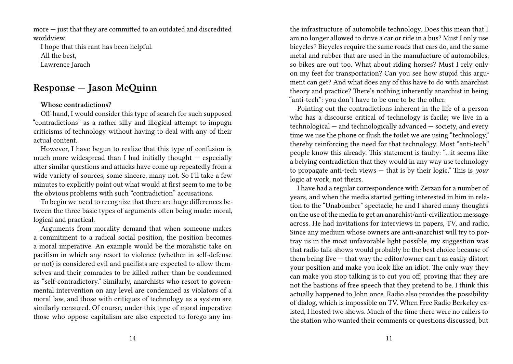more — just that they are committed to an outdated and discredited worldview.

I hope that this rant has been helpful. All the best, Lawrence Jarach

# **Response — Jason McQuinn**

### **Whose contradictions?**

Off-hand, I would consider this type of search for such supposed "contradictions" as a rather silly and illogical attempt to impugn criticisms of technology without having to deal with any of their actual content.

However, I have begun to realize that this type of confusion is much more widespread than I had initially thought — especially after similar questions and attacks have come up repeatedly from a wide variety of sources, some sincere, many not. So I'll take a few minutes to explicitly point out what would at first seem to me to be the obvious problems with such "contradiction" accusations.

To begin we need to recognize that there are huge differences between the three basic types of arguments often being made: moral, logical and practical.

Arguments from morality demand that when someone makes a commitment to a radical social position, the position becomes a moral imperative. An example would be the moralistic take on pacifism in which any resort to violence (whether in self-defense or not) is considered evil and pacifists are expected to allow themselves and their comrades to be killed rather than be condemned as "self-contradictory." Similarly, anarchists who resort to governmental intervention on any level are condemned as violators of a moral law, and those with critiques of technology as a system are similarly censured. Of course, under this type of moral imperative those who oppose capitalism are also expected to forego any imthe infrastructure of automobile technology. Does this mean that I am no longer allowed to drive a car or ride in a bus? Must I only use bicycles? Bicycles require the same roads that cars do, and the same metal and rubber that are used in the manufacture of automobiles, so bikes are out too. What about riding horses? Must I rely only on my feet for transportation? Can you see how stupid this argument can get? And what does any of this have to do with anarchist theory and practice? There's nothing inherently anarchist in being "anti-tech": you don't have to be one to be the other.

Pointing out the contradictions inherent in the life of a person who has a discourse critical of technology is facile; we live in a technological — and technologically advanced — society, and every time we use the phone or flush the toilet we are using "technology," thereby reinforcing the need for that technology. Most "anti-tech" people know this already. This statement is faulty: "…it seems like a belying contradiction that they would in any way use technology to propagate anti-tech views — that is by their logic." This is *your* logic at work, not theirs.

I have had a regular correspondence with Zerzan for a number of years, and when the media started getting interested in him in relation to the "Unabomber" spectacle, he and I shared many thoughts on the use of the media to get an anarchist/anti-civilization message across. He had invitations for interviews in papers, TV, and radio. Since any medium whose owners are anti-anarchist will try to portray us in the most unfavorable light possible, my suggestion was that radio talk-shows would probably be the best choice because of them being live — that way the editor/owner can't as easily distort your position and make you look like an idiot. The only way they can make you stop talking is to cut you off, proving that they are not the bastions of free speech that they pretend to be. I think this actually happened to John once. Radio also provides the possibility of dialog, which is impossible on TV. When Free Radio Berkeley existed, I hosted two shows. Much of the time there were no callers to the station who wanted their comments or questions discussed, but